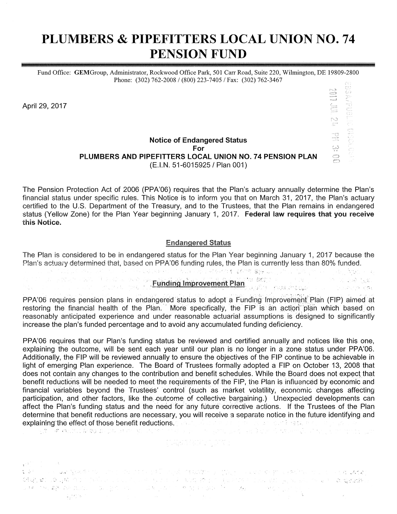# PLUMBERS & PIPEFITTERS LOCAL UNION NO. 74 **PENSION FUND**

Fund Office: GEMGroup, Administrator, Rockwood Office Park, 501 Carr Road, Suite 220, Wilmington, DE 19809-2800 Phone: (302) 762-2008 / (800) 223-7405 / Fax: (302) 762-3467

April 29, 2017

### **Notice of Endangered Status** For PLUMBERS AND PIPEFITTERS LOCAL UNION NO. 74 PENSION PLAN (E.I.N. 51-6015925 / Plan 001)

**SACRED SECTIONS** 

The Pension Protection Act of 2006 (PPA'06) requires that the Plan's actuary annually determine the Plan's financial status under specific rules. This Notice is to inform you that on March 31, 2017, the Plan's actuary certified to the U.S. Department of the Treasury, and to the Trustees, that the Plan remains in endangered status (Yellow Zone) for the Plan Year beginning January 1, 2017. Federal law requires that you receive this Notice.

### **Endangered Status**

The Plan is considered to be in endangered status for the Plan Year beginning January 1, 2017 because the Plan's actuary determined that, based on PPA'06 funding rules, the Plan is currently less than 80% funded. 

PPA'06 requires pension plans in endangered status to adopt a Funding Improvement Plan (FIP) aimed at restoring the financial health of the Plan. More specifically, the FIP is an action plan which based on reasonably anticipated experience and under reasonable actuarial assumptions is designed to significantly increase the plan's funded percentage and to avoid any accumulated funding deficiency.

PPA'06 requires that our Plan's funding status be reviewed and certified annually and notices like this one, explaining the outcome, will be sent each year until our plan is no longer in a zone status under PPA'06. Additionally, the FIP will be reviewed annually to ensure the objectives of the FIP continue to be achievable in light of emerging Plan experience. The Board of Trustees formally adopted a FIP on October 13, 2008 that does not contain any changes to the contribution and benefit schedules. While the Board does not expect that benefit reductions will be needed to meet the requirements of the FIP, the Plan is influenced by economic and financial variables beyond the Trustees' control (such as market volatility, economic changes affecting participation, and other factors, like the outcome of collective bargaining.) Unexpected developments can affect the Plan's funding status and the need for any future corrective actions. If the Trustees of the Plan determine that benefit reductions are necessary, you will receive a separate notice in the future identifying and explaining the effect of those benefit reductions. The second parameter is a second result of the part of the<br>The second result from the production of the second part of the second product of the emphasing of the part of

 $\mathbf{r}^{(1)}$ t at the company graves to come protection pall origin detailed by the second and a group and the company and ભાષા, જ્યારે તેમ આપણા પ્રત્યોગ પર પાર્ટી પણ પ્રાપ્ય પરિવારણ છે. આ પ્રિયોગ્યિક પાર્ટના હોય <sub>છે</sub>. આ હોય જ હતા વ્યવસાયક 당대를 통해 보호 중에 발생한 기업을 지원하여 전 기업을 받았다. 한 번 이 그래서 관심을 하고 있는 것이 있다.<br>그녀는 이 정신 욕용한 결과 결과적인 이 이 오늘은 일반 이 인도 이 이 그녀는 일이 있다. 이 전 결과 보호 중에서 한 것이 이 대상에 있는 이 이 역시에 있다. 그 일<br>- 1  $-4.10367$